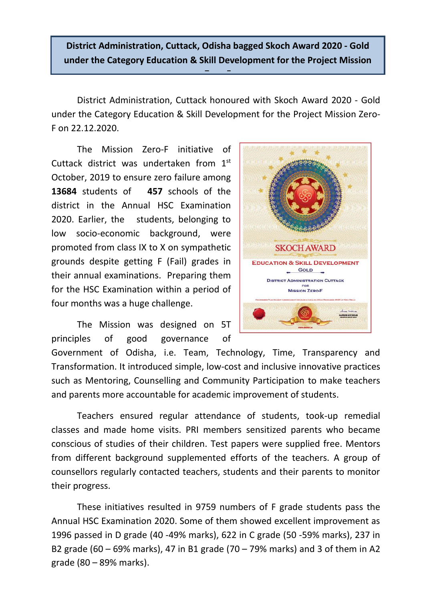**District Administration, Cuttack, Odisha bagged Skoch Award 2020 - Gold under the Category Education & Skill Development for the Project Mission** 

**Zero-F**

District Administration, Cuttack honoured with Skoch Award 2020 - Gold under the Category Education & Skill Development for the Project Mission Zero-F on 22.12.2020.

The Mission Zero-F initiative of Cuttack district was undertaken from  $1<sup>st</sup>$ October, 2019 to ensure zero failure among **13684** students of **457** schools of the district in the Annual HSC Examination 2020. Earlier, the students, belonging to low socio-economic background, were promoted from class IX to X on sympathetic grounds despite getting F (Fail) grades in their annual examinations. Preparing them for the HSC Examination within a period of four months was a huge challenge.

The Mission was designed on 5T principles of good governance of



Government of Odisha, i.e. Team, Technology, Time, Transparency and Transformation. It introduced simple, low-cost and inclusive innovative practices such as Mentoring, Counselling and Community Participation to make teachers and parents more accountable for academic improvement of students.

Teachers ensured regular attendance of students, took-up remedial classes and made home visits. PRI members sensitized parents who became conscious of studies of their children. Test papers were supplied free. Mentors from different background supplemented efforts of the teachers. A group of counsellors regularly contacted teachers, students and their parents to monitor their progress.

These initiatives resulted in 9759 numbers of F grade students pass the Annual HSC Examination 2020. Some of them showed excellent improvement as 1996 passed in D grade (40 -49% marks), 622 in C grade (50 -59% marks), 237 in B2 grade (60 – 69% marks), 47 in B1 grade (70 – 79% marks) and 3 of them in A2 grade (80 – 89% marks).